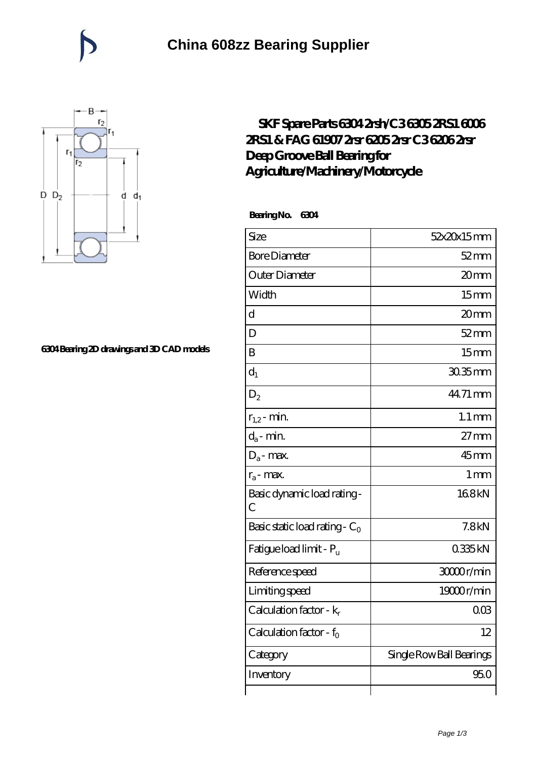

## **[6304 Bearing 2D drawings and 3D CAD models](https://catchios.com/pic-592285.html)**

## **[SKF Spare Parts 6304 2rsh/C3 6305 2RS1 6006](https://catchios.com/fag-c3-bearing/skf-6304.html) [2RS1 & FAG 61907 2rsr 6205 2rsr C3 6206 2rsr](https://catchios.com/fag-c3-bearing/skf-6304.html) [Deep Groove Ball Bearing for](https://catchios.com/fag-c3-bearing/skf-6304.html) [Agriculture/Machinery/Motorcycle](https://catchios.com/fag-c3-bearing/skf-6304.html)**

 **Bearing No. 6304**

| Size                                | 52x20x15mm               |
|-------------------------------------|--------------------------|
| <b>Bore Diameter</b>                | $52 \text{mm}$           |
| Outer Diameter                      | 20mm                     |
| Width                               | 15 <sub>mm</sub>         |
| $\mathbf d$                         | 20mm                     |
| D                                   | $52$ mm                  |
| B                                   | 15 <sub>mm</sub>         |
| $d_1$                               | 30.35mm                  |
| $D_2$                               | 44.71 mm                 |
| $r_{1,2}$ - min.                    | $1.1 \,\mathrm{mm}$      |
| $d_a$ - min.                        | $27 \text{mm}$           |
| $D_a$ - max.                        | $45$ mm                  |
| $r_a$ - max.                        | 1 <sub>mm</sub>          |
| Basic dynamic load rating-<br>C     | 168kN                    |
| Basic static load rating - $C_0$    | 7.8kN                    |
| Fatigue load limit - P <sub>u</sub> | 0335kN                   |
| Reference speed                     | 3000r/min                |
| Limiting speed                      | 19000r/min               |
| Calculation factor - k <sub>r</sub> | 00 <sup>3</sup>          |
| Calculation factor - $f_0$          | 12                       |
| Category                            | Single Row Ball Bearings |
| Inventory                           | 95.0                     |
|                                     |                          |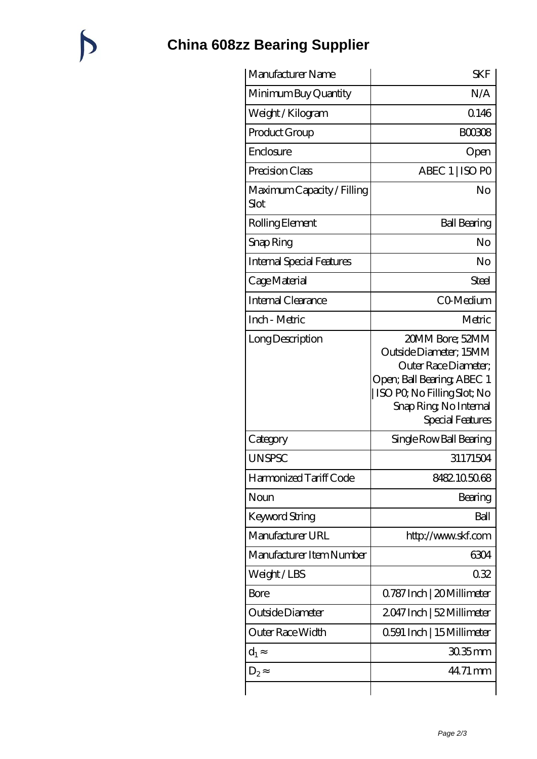## **[China 608zz Bearing Supplier](https://catchios.com)**

| Manufacturer Name                  | <b>SKF</b>                                                                                                                                                                    |
|------------------------------------|-------------------------------------------------------------------------------------------------------------------------------------------------------------------------------|
| Minimum Buy Quantity               | N/A                                                                                                                                                                           |
| Weight/Kilogram                    | 0.146                                                                                                                                                                         |
| Product Group                      | <b>BOO308</b>                                                                                                                                                                 |
| Enclosure                          | Open                                                                                                                                                                          |
| Precision Class                    | ABEC 1   ISO PO                                                                                                                                                               |
| Maximum Capacity / Filling<br>Slot | No                                                                                                                                                                            |
| Rolling Element                    | <b>Ball Bearing</b>                                                                                                                                                           |
| Snap Ring                          | No                                                                                                                                                                            |
| <b>Internal Special Features</b>   | No                                                                                                                                                                            |
| Cage Material                      | Steel                                                                                                                                                                         |
| Internal Clearance                 | CO-Medium                                                                                                                                                                     |
| Inch - Metric                      | Metric                                                                                                                                                                        |
| Long Description                   | 20MM Bore; 52MM<br>Outside Diameter; 15MM<br>Outer Race Diameter;<br>Open; Ball Bearing; ABEC 1<br>  ISO PQ No Filling Slot; No<br>Snap Ring, No Internal<br>Special Features |
| Category                           | Single Row Ball Bearing                                                                                                                                                       |
| <b>UNSPSC</b>                      | 31171504                                                                                                                                                                      |
| Harmonized Tariff Code             | 8482105068                                                                                                                                                                    |
| Noun                               | Bearing                                                                                                                                                                       |
| Keyword String                     | Ball                                                                                                                                                                          |
| Manufacturer URL                   | http://www.skf.com                                                                                                                                                            |
| Manufacturer Item Number           | 6304                                                                                                                                                                          |
| Weight/LBS                         | 032                                                                                                                                                                           |
| Bore                               | 0.787 Inch   20 Millimeter                                                                                                                                                    |
| Outside Diameter                   | 2047 Inch   52 Millimeter                                                                                                                                                     |
| Outer Race Width                   | 0.591 Inch   15 Millimeter                                                                                                                                                    |
| $d_1$                              | $3035$ mm                                                                                                                                                                     |
| $D_2$                              | 44.71 mm                                                                                                                                                                      |
|                                    |                                                                                                                                                                               |